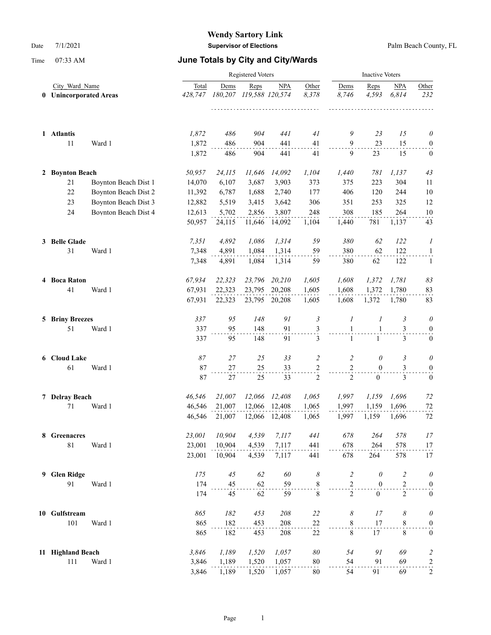|   |                        |                                               |                | <b>Inactive Voters</b> |            |                               |                                 |                              |                   |                |                              |
|---|------------------------|-----------------------------------------------|----------------|------------------------|------------|-------------------------------|---------------------------------|------------------------------|-------------------|----------------|------------------------------|
| 0 |                        | City Ward Name<br><b>Unincorporated Areas</b> |                | Dems<br>180,207        | Reps       | <b>NPA</b><br>119,588 120,574 | Other<br>8,378<br>111111        | Dems<br>8,746                | Reps<br>4,593     | NPA<br>6.814   | Other<br>232                 |
|   | 1 Atlantis             |                                               | 1,872          | 486                    | 904        | 441                           | 41                              | 9                            | 23<br>23          | 15<br>15       | $\theta$                     |
|   | 11                     | Ward 1                                        | 1,872<br>1,872 | 486<br>486             | 904<br>904 | 441<br>441                    | 41<br>41                        | 9<br>9                       | 23                | 15             | $\mathbf{0}$<br>$\mathbf{0}$ |
|   | 2 Boynton Beach        |                                               | 50,957         | 24,115                 | 11,646     | 14,092                        | 1,104                           | 1,440                        | 781               | 1,137          | 43                           |
|   | 21                     | Boynton Beach Dist 1                          | 14,070         | 6,107                  | 3,687      | 3,903                         | 373                             | 375                          | 223               | 304            | 11                           |
|   | 22                     | Boynton Beach Dist 2                          | 11,392         | 6,787                  | 1,688      | 2,740                         | 177                             | 406                          | 120               | 244            | 10                           |
|   | 23                     | Boynton Beach Dist 3                          | 12,882         | 5,519                  | 3,415      | 3,642                         | 306                             | 351                          | 253               | 325            | 12                           |
|   | 24                     | Boynton Beach Dist 4                          | 12,613         | 5,702                  | 2,856      | 3,807                         | 248                             | 308                          | 185               | 264            | 10                           |
|   |                        |                                               | 50,957         | 24,115                 | 11,646     | 14,092                        | 1,104                           | 1,440                        | 781               | 1,137          | 43                           |
|   | 3 Belle Glade          |                                               | 7,351          | 4,892                  | 1,086      | 1,314                         | 59                              | 380                          | 62                | 122            | 1                            |
|   | 31                     | Ward 1                                        | 7,348          | 4,891                  | 1,084      | 1,314                         | 59                              | 380                          | 62                | 122            | $\mathbf{1}$                 |
|   |                        |                                               | 7,348          | 4,891                  | 1,084      | 1,314                         | 59                              | 380                          | 62                | 122            | 1                            |
|   | 4 Boca Raton           |                                               | 67,934         | 22,323                 | 23,796     | 20,210                        | 1,605                           | 1,608                        | 1,372             | 1,781          | 83                           |
|   | 41                     | Ward 1                                        | 67,931         | 22,323                 | 23,795     | 20,208                        | 1,605                           | 1,608                        | 1,372             | 1,780          | 83                           |
|   |                        |                                               | 67,931         | 22,323                 |            | 23,795 20,208                 | 1,605                           | 1,608                        | 1,372             | 1,780          | 83                           |
|   | <b>5 Briny Breezes</b> |                                               | 337            | 95                     | 148        | 91                            | $\mathfrak{Z}$                  | 1                            | 1                 | 3              | $\theta$                     |
|   | 51                     | Ward 1                                        | 337<br>337     | 95<br>95               | 148<br>148 | 91<br>91                      | 3<br>3                          | $\mathbf{1}$<br>$\mathbf{1}$ | 1<br>$\mathbf{1}$ | 3<br>3         | $\mathbf{0}$<br>$\mathbf{0}$ |
|   | 6 Cloud Lake           |                                               | 87             | 27                     | 25         | 33                            | $\overline{c}$                  |                              | $\theta$          | 3              | $\theta$                     |
|   | 61                     | Ward 1                                        | 87             | 27                     | 25         | 33                            |                                 | 2<br>$\sqrt{2}$              | $\mathbf{0}$      | 3              | $\boldsymbol{0}$             |
|   |                        |                                               | 87             | $27\,$                 | 25         | 33                            | $\frac{2}{1}$<br>$\mathfrak{2}$ | $\overline{2}$               | $\mathbf{0}$      | 3              | $\boldsymbol{0}$             |
|   | 7 Delray Beach         |                                               | 46,546         | 21,007                 | 12,066     | 12,408                        | 1,065                           | 1,997                        | 1,159             | 1,696          | 72                           |
|   | 71                     | Ward 1                                        | 46,546         | 21,007                 | 12,066     | 12,408                        | 1,065                           | 1,997                        | 1,159             | 1,696          | 72                           |
|   |                        |                                               | 46,546         | 21,007                 | 12,066     | 12,408                        | 1,065                           | 1,997                        | 1,159             | 1,696          | 72                           |
|   | 8 Greenacres           |                                               | 23,001         | 10,904                 | 4,539      | 7,117                         | 441                             | 678                          | 264               | 578            | 17                           |
|   | $8\sqrt{1}$            | Ward 1                                        | 23,001         | 10,904                 | 4,539      | 7,117                         | 441                             | 678                          | 264               | 578            | 17                           |
|   |                        |                                               | 23,001         | 10,904                 | 4,539      | 7,117                         | 441                             | 678                          | 264               | 578            | 17                           |
| 9 | <b>Glen Ridge</b>      |                                               | 175            | 45                     | 62         | 60                            | 8                               | $\overline{c}$               | $\theta$          | $\overline{c}$ | $\theta$                     |
|   | 91                     | Ward 1                                        | 174            | 45                     | 62         | 59                            | $\sum_{i=1}^{n}$                | $\mathbf{2}$                 | $\boldsymbol{0}$  | $\mathfrak{2}$ | $\boldsymbol{0}$             |
|   |                        |                                               | 174            | 45                     | 62         | 59                            | $\,$ 8 $\,$                     | $\overline{c}$               | $\boldsymbol{0}$  | $\overline{2}$ | $\boldsymbol{0}$             |
|   | 10 Gulfstream          |                                               | 865            | 182                    | 453        | 208                           | 22                              | 8                            | 17                | 8              | $\theta$                     |
|   | 101                    | Ward 1                                        | 865            | 182                    | 453        | 208                           | 22                              | 8                            | 17                | $8\,$          | $\boldsymbol{0}$             |
|   |                        |                                               | 865            | 182                    | 453        | 208                           | 22                              | $\,8\,$                      | 17                | 8              | $\boldsymbol{0}$             |
|   | 11 Highland Beach      |                                               | 3,846          | 1,189                  | 1,520      | 1,057                         | $\delta\theta$                  | 54                           | 91                | 69             | $\overline{\mathbf{c}}$      |
|   | 111                    | Ward 1                                        | 3,846          | 1,189                  | 1,520      | 1,057                         | $80\,$                          | 54                           | 91                | 69             | $\overline{a}$               |
|   |                        |                                               | 3,846          | 1,189                  | 1,520      | 1,057                         | 80                              | 54                           | 91                | 69             | $\overline{c}$               |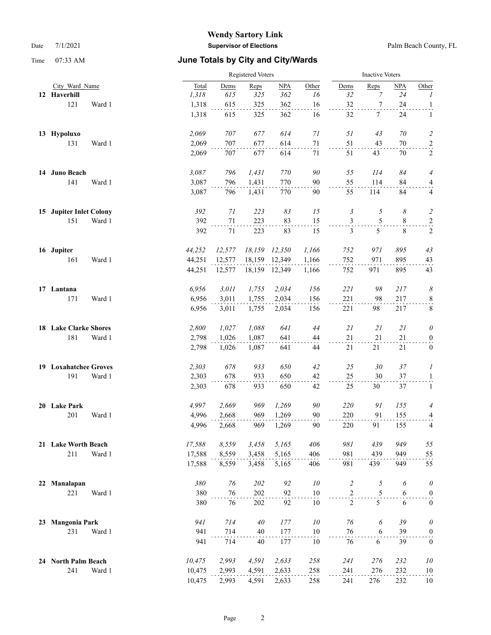|    |                         |        |        | Registered Voters |        |               |        |                |                  | <b>Inactive Voters</b> |                   |  |  |
|----|-------------------------|--------|--------|-------------------|--------|---------------|--------|----------------|------------------|------------------------|-------------------|--|--|
|    | City Ward Name          |        | Total  | Dems              | Reps   | NPA           | Other  | Dems           | Reps             | <b>NPA</b>             | Other             |  |  |
|    | 12 Haverhill            |        | 1,318  | 615               | 325    | 362           | 16     | 32             | 7                | 24                     | $\boldsymbol{I}$  |  |  |
|    | 121                     | Ward 1 | 1,318  | 615               | 325    | 362           | 16     | 32             | $\boldsymbol{7}$ | 24                     | $\mathbf{1}$      |  |  |
|    |                         |        | 1,318  | 615               | 325    | 362           | 16     | 32             | 7                | 24                     | 1                 |  |  |
|    | 13 Hypoluxo             |        | 2,069  | 707               | 677    | 614           | 71     | 51             | 43               | 70                     | $\overline{c}$    |  |  |
|    | 131                     | Ward 1 | 2,069  | 707               | 677    | 614           | 71     | 51             | 43               | 70                     | $\overline{a}$    |  |  |
|    |                         |        | 2,069  | 707               | 677    | 614           | 71     | 51             | 43               | 70                     | 2                 |  |  |
|    | 14 Juno Beach           |        | 3,087  | 796               | 1,431  | 770           | 90     | 55             | 114              | 84                     | 4                 |  |  |
|    | 141                     | Ward 1 | 3,087  | 796               | 1,431  | 770           | 90     | 55             | 114              | 84                     | $\frac{4}{\cdot}$ |  |  |
|    |                         |        | 3,087  | 796               | 1,431  | 770           | 90     | 55             | 114              | 84                     | 4                 |  |  |
|    | 15 Jupiter Inlet Colony |        | 392    | 71                | 223    | 83            | 15     | 3              | 5                | 8                      | $\overline{c}$    |  |  |
|    | 151                     | Ward 1 | 392    | $71\,$            | 223    | 83            | 15     | $\mathfrak{Z}$ | 5                | 8                      | $\overline{a}$    |  |  |
|    |                         |        | 392    | 71                | 223    | 83            | 15     | 3              | 5                | 8                      | 2                 |  |  |
|    | 16 Jupiter              |        | 44,252 | 12,577            | 18,159 | 12,350        | 1,166  | 752            | 971              | 895                    | 43                |  |  |
|    | 161                     | Ward 1 | 44,251 | 12,577            | 18,159 | 12,349        | 1,166  | 752            | 971              | 895                    | 43                |  |  |
|    |                         |        | 44,251 | 12,577            |        | 18,159 12,349 | 1,166  | 752            | 971              | 895                    | 43                |  |  |
|    | 17 Lantana              |        | 6,956  | 3,011             | 1,755  | 2,034         | 156    | 221            | 98               | 217                    | 8                 |  |  |
|    | 171                     | Ward 1 | 6,956  | 3,011             | 1,755  | 2,034         | 156    | 221            | 98               | 217                    | $\frac{8}{1}$     |  |  |
|    |                         |        | 6,956  | 3,011             | 1,755  | 2,034         | 156    | 221            | 98               | 217                    | $\,8\,$           |  |  |
|    | 18 Lake Clarke Shores   |        | 2,800  | 1,027             | 1,088  | 641           | 44     | 21             | 21               | 21                     | 0                 |  |  |
|    | 181                     | Ward 1 | 2,798  | 1,026             | 1,087  | 641           | 44     | 21             | 21               | 21                     | $\boldsymbol{0}$  |  |  |
|    |                         |        | 2,798  | 1,026             | 1,087  | 641           | 44     | 21             | 21               | 21                     | $\boldsymbol{0}$  |  |  |
|    | 19 Loxahatchee Groves   |        | 2,303  | 678               | 933    | 650           | 42     | 25             | 30               | 37                     | 1                 |  |  |
|    | 191                     | Ward 1 | 2,303  | 678               | 933    | 650           | 42     | 25             | 30               | 37                     | $\mathbf{1}$      |  |  |
|    |                         |        | 2,303  | 678               | 933    | 650           | 42     | 25             | 30               | 37                     | $\mathbf{1}$      |  |  |
|    | 20 Lake Park            |        | 4,997  | 2,669             | 969    | 1,269         | 90     | 220            | 91               | 155                    | 4                 |  |  |
|    | 201                     | Ward 1 | 4,996  | 2,668             | 969    | 1,269         | 90     | 220            | 91               | 155                    | 4                 |  |  |
|    |                         |        | 4,996  | 2,668             | 969    | 1,269         | 90     | 220            | 91               | 155                    | 4                 |  |  |
|    | 21 Lake Worth Beach     |        | 17,588 | 8,559             | 3,458  | 5,165         | 406    | 981            | 439              | 949                    | 55                |  |  |
|    | 211                     | Ward 1 | 17,588 | 8,559             | 3,458  | 5,165         | 406    | 981            | 439              | 949                    | 55                |  |  |
|    |                         |        | 17,588 | 8,559             | 3,458  | 5,165         | 406    | 981            | 439              | 949                    | 55                |  |  |
| 22 | Manalapan               |        | 380    | 76                | 202    | 92            | 10     | $\overline{c}$ | 5                | 6                      | $\theta$          |  |  |
|    | 221                     | Ward 1 | 380    | 76                | 202    | 92            | 10     | $\overline{2}$ | 5                | 6                      | $\boldsymbol{0}$  |  |  |
|    |                         |        | 380    | 76                | 202    | 92            | $10\,$ | $\overline{2}$ | 5                | 6                      | $\boldsymbol{0}$  |  |  |
| 23 | <b>Mangonia Park</b>    |        | 941    | 714               | 40     | 177           | 10     | 76             | 6                | 39                     | $\theta$          |  |  |
|    | 231                     | Ward 1 | 941    | 714               | 40     | 177           | $10\,$ | 76             | $\sqrt{6}$       | 39                     | $\overline{0}$    |  |  |
|    |                         |        | 941    | 714               | 40     | 177           | 10     | 76             | 6                | 39                     | $\boldsymbol{0}$  |  |  |
|    | 24 North Palm Beach     |        | 10,475 | 2,993             | 4,591  | 2,633         | 258    | 241            | 276              | 232                    | $10\,$            |  |  |
|    | 241                     | Ward 1 | 10,475 | 2,993             | 4,591  | 2,633         | 258    | 241            | 276              | 232                    | $10\,$            |  |  |
|    |                         |        | 10,475 | 2,993             | 4,591  | 2,633         | 258    | 241            | 276              | 232                    | $10\,$            |  |  |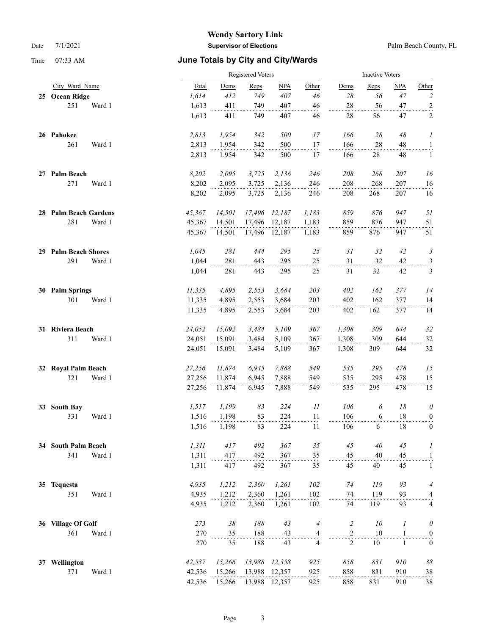|    |                       |        |        | Registered Voters |        |               |                          |                |        | <b>Inactive Voters</b> |                  |  |  |
|----|-----------------------|--------|--------|-------------------|--------|---------------|--------------------------|----------------|--------|------------------------|------------------|--|--|
|    | City Ward Name        |        | Total  | Dems              | Reps   | NPA           | Other                    | Dems           | Reps   | NPA                    | Other            |  |  |
|    | 25 Ocean Ridge        |        | 1,614  | 412               | 749    | 407           | 46                       | 28             | 56     | 47                     | $\overline{c}$   |  |  |
|    | 251                   | Ward 1 | 1,613  | 411               | 749    | 407           | 46                       | 28             | 56     | 47                     | $\overline{a}$   |  |  |
|    |                       |        | 1,613  | 411               | 749    | 407           | 46                       | 28             | 56     | 47                     | 2                |  |  |
|    | 26 Pahokee            |        | 2,813  | 1,954             | 342    | 500           | 17                       | 166            | 28     | 48                     | 1                |  |  |
|    | 261                   | Ward 1 | 2,813  | 1,954             | 342    | 500           | 17                       | 166            | 28     | 48                     | $\overline{a}$   |  |  |
|    |                       |        | 2,813  | 1,954             | 342    | 500           | 17                       | 166            | 28     | 48                     | $\mathbf{1}$     |  |  |
|    | 27 Palm Beach         |        | 8,202  | 2,095             | 3,725  | 2,136         | 246                      | 208            | 268    | 207                    | 16               |  |  |
|    | 271                   | Ward 1 | 8,202  | 2,095             | 3,725  | 2,136         | 246                      | 208            | 268    | 207                    | 16               |  |  |
|    |                       |        | 8,202  | 2,095             | 3,725  | 2,136         | 246                      | 208            | 268    | 207                    | 16               |  |  |
|    | 28 Palm Beach Gardens |        | 45,367 | 14,501            | 17,496 | 12,187        | 1,183                    | 859            | 876    | 947                    | 51               |  |  |
|    | 281                   | Ward 1 | 45,367 | 14,501            | 17,496 | 12,187        | 1,183                    | 859            | 876    | 947                    | 51               |  |  |
|    |                       |        | 45,367 | 14,501            |        | 17,496 12,187 | 1,183                    | 859            | 876    | 947                    | 51               |  |  |
|    | 29 Palm Beach Shores  |        | 1,045  | 281               | 444    | 295           | $25\,$                   | 31             | 32     | 42                     | 3                |  |  |
|    | 291                   | Ward 1 | 1,044  | 281               | 443    | 295           | 25                       | 31             | 32     | 42                     | $\frac{3}{2}$    |  |  |
|    |                       |        | 1,044  | 281               | 443    | 295           | 25                       | 31             | 32     | 42                     | 3                |  |  |
| 30 | <b>Palm Springs</b>   |        | 11,335 | 4,895             | 2,553  | 3,684         | 203                      | 402            | 162    | 377                    | 14               |  |  |
|    | 301                   | Ward 1 | 11,335 | 4,895             | 2,553  | 3,684         | 203                      | 402            | 162    | 377                    | 14               |  |  |
|    |                       |        | 11,335 | 4,895             | 2,553  | 3,684         | 203                      | 402            | 162    | 377                    | 14               |  |  |
|    | 31 Riviera Beach      |        | 24,052 | 15,092            | 3,484  | 5,109         | 367                      | 1,308          | 309    | 644                    | 32               |  |  |
|    | 311                   | Ward 1 | 24,051 | 15,091            | 3,484  | 5,109         | 367                      | 1,308          | 309    | 644                    | 32               |  |  |
|    |                       |        | 24,051 | 15,091            | 3,484  | 5,109         | 367                      | 1,308          | 309    | 644                    | 32               |  |  |
|    | 32 Royal Palm Beach   |        | 27,256 | 11,874            | 6,945  | 7,888         | 549                      | 535            | 295    | 478                    | 15               |  |  |
|    | 321                   | Ward 1 | 27,256 | 11,874            | 6,945  | 7,888         | 549                      | 535            | 295    | 478                    | 15               |  |  |
|    |                       |        | 27,256 | 11,874            | 6,945  | 7,888         | 549                      | 535            | 295    | 478                    | 15               |  |  |
| 33 | <b>South Bay</b>      |        | 1,517  | 1,199             | 83     | 224           | $\mathcal{I}\mathcal{I}$ | 106            | 6      | 18                     | $\theta$         |  |  |
|    | 331                   | Ward 1 | 1,516  | 1,198             | 83     | 224           | 11                       | 106            | 6      | 18                     | $\overline{0}$   |  |  |
|    |                       |        | 1,516  | 1,198             | 83     | 224           | 11                       | 106            | 6      | 18                     | $\mathbf{0}$     |  |  |
|    | 34 South Palm Beach   |        | 1,311  | 417               | 492    | 367           | 35                       | 45             | 40     | 45                     | 1                |  |  |
|    | 341                   | Ward 1 | 1,311  | 417               | 492    | 367           | 35                       | 45             | $40\,$ | 45                     | $\mathbf{1}$     |  |  |
|    |                       |        | 1,311  | 417               | 492    | 367           | 35                       | 45             | 40     | 45                     | $\mathbf{1}$     |  |  |
|    | 35 Tequesta           |        | 4,935  | 1,212             | 2,360  | 1,261         | 102                      | 74             | 119    | 93                     | 4                |  |  |
|    | 351                   | Ward 1 | 4,935  | 1,212             | 2,360  | 1,261         | 102                      | 74             | 119    | 93                     | 4                |  |  |
|    |                       |        | 4,935  | 1,212             | 2,360  | 1,261         | 102                      | 74             | 119    | 93                     | 4                |  |  |
|    | 36 Village Of Golf    |        | 273    | $38\,$            | 188    | 43            | $\overline{4}$           | $\overline{c}$ | $10\,$ | 1                      | $\theta$         |  |  |
|    | 361                   | Ward 1 | 270    | 35                | 188    | 43            | $\frac{4}{1}$            | $\overline{a}$ | 10     | $\mathbf{1}$           | $\boldsymbol{0}$ |  |  |
|    |                       |        | 270    | 35                | 188    | 43            | 4                        | $\overline{2}$ | 10     | $\mathbf{1}$           | $\boldsymbol{0}$ |  |  |
| 37 | Wellington            |        | 42,537 | 15,266            | 13,988 | 12,358        | 925                      | 858            | 831    | 910                    | $38\,$           |  |  |
|    | 371                   | Ward 1 | 42,536 | 15,266            | 13,988 | 12,357        | 925                      | 858            | 831    | 910                    | 38               |  |  |
|    |                       |        | 42,536 | 15,266            | 13,988 | 12,357        | 925                      | 858            | 831    | 910                    | 38               |  |  |